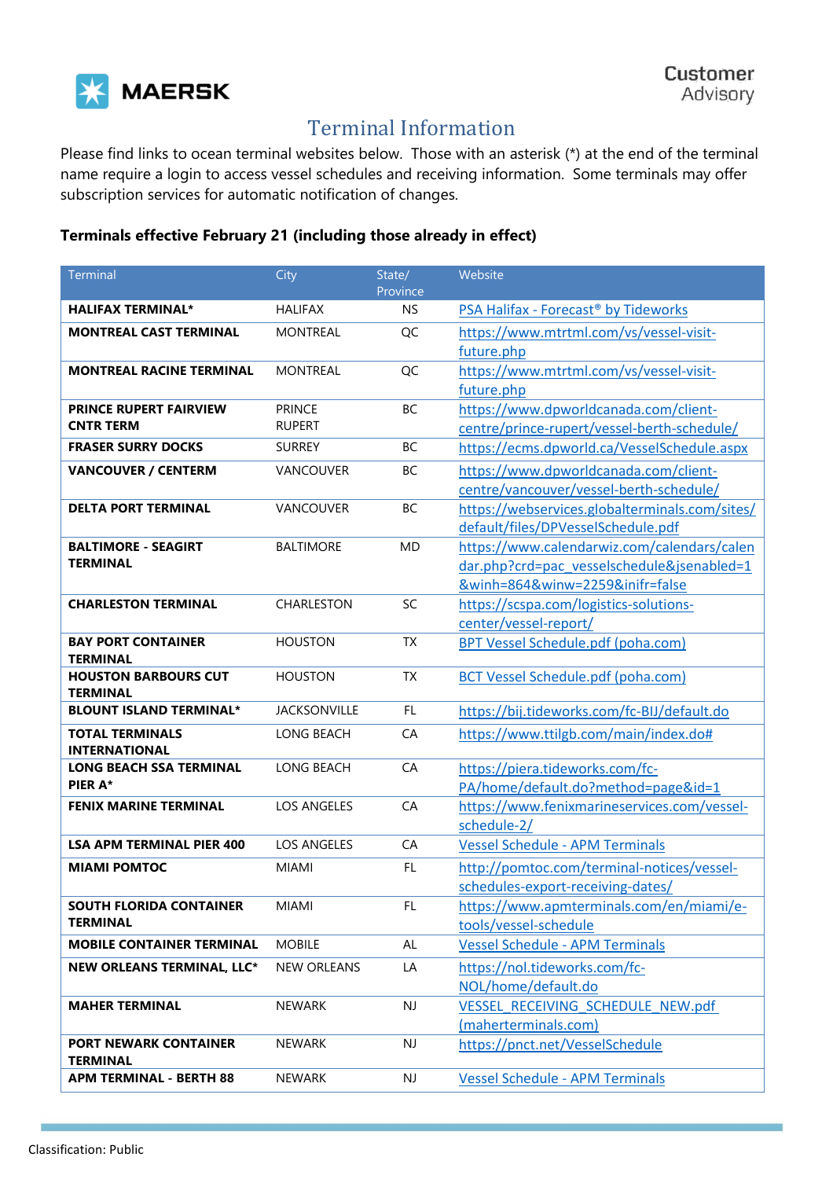

## Terminal Information

Please find links to ocean terminal websites below. Those with an asterisk (\*) at the end of the terminal name require a login to access vessel schedules and receiving information. Some terminals may offer subscription services for automatic notification of changes.

## **Terminals effective February 21 (including those already in effect)**

| Terminal                                          | City                           | State/<br>Province     | Website                                                                                                                      |
|---------------------------------------------------|--------------------------------|------------------------|------------------------------------------------------------------------------------------------------------------------------|
| <b>HALIFAX TERMINAL*</b>                          | <b>HALIFAX</b>                 | <b>NS</b>              | PSA Halifax - Forecast <sup>®</sup> by Tideworks                                                                             |
| <b>MONTREAL CAST TERMINAL</b>                     | <b>MONTREAL</b>                | QC                     | https://www.mtrtml.com/vs/vessel-visit-<br>future.php                                                                        |
| <b>MONTREAL RACINE TERMINAL</b>                   | <b>MONTREAL</b>                | QC                     | https://www.mtrtml.com/vs/vessel-visit-<br>future.php                                                                        |
| <b>PRINCE RUPERT FAIRVIEW</b><br><b>CNTR TERM</b> | <b>PRINCE</b><br><b>RUPERT</b> | BC                     | https://www.dpworldcanada.com/client-<br>centre/prince-rupert/vessel-berth-schedule/                                         |
| <b>FRASER SURRY DOCKS</b>                         | <b>SURREY</b>                  | BC                     | https://ecms.dpworld.ca/VesselSchedule.aspx                                                                                  |
| <b>VANCOUVER / CENTERM</b>                        | VANCOUVER                      | BC                     | https://www.dpworldcanada.com/client-<br>centre/vancouver/vessel-berth-schedule/                                             |
| <b>DELTA PORT TERMINAL</b>                        | VANCOUVER                      | BC                     | https://webservices.globalterminals.com/sites/<br>default/files/DPVesselSchedule.pdf                                         |
| <b>BALTIMORE - SEAGIRT</b><br><b>TERMINAL</b>     | <b>BALTIMORE</b>               | <b>MD</b>              | https://www.calendarwiz.com/calendars/calen<br>dar.php?crd=pac_vesselschedule&jsenabled=1<br>&winh=864&winw=2259&inifr=false |
| <b>CHARLESTON TERMINAL</b>                        | <b>CHARLESTON</b>              | SC                     | https://scspa.com/logistics-solutions-<br>center/vessel-report/                                                              |
| <b>BAY PORT CONTAINER</b><br><b>TERMINAL</b>      | <b>HOUSTON</b>                 | <b>TX</b>              | BPT Vessel Schedule.pdf (poha.com)                                                                                           |
| <b>HOUSTON BARBOURS CUT</b><br><b>TERMINAL</b>    | <b>HOUSTON</b>                 | <b>TX</b>              | <b>BCT Vessel Schedule.pdf (poha.com)</b>                                                                                    |
| <b>BLOUNT ISLAND TERMINAL*</b>                    | <b>JACKSONVILLE</b>            | <b>FL</b>              | https://bij.tideworks.com/fc-BIJ/default.do                                                                                  |
| <b>TOTAL TERMINALS</b><br><b>INTERNATIONAL</b>    | <b>LONG BEACH</b>              | CA                     | https://www.ttilgb.com/main/index.do#                                                                                        |
| <b>LONG BEACH SSA TERMINAL</b><br>PIER A*         | <b>LONG BEACH</b>              | CA                     | https://piera.tideworks.com/fc-<br>PA/home/default.do?method=page&id=1                                                       |
| <b>FENIX MARINE TERMINAL</b>                      | <b>LOS ANGELES</b>             | CA                     | https://www.fenixmarineservices.com/vessel-<br>schedule-2/                                                                   |
| <b>LSA APM TERMINAL PIER 400</b>                  | LOS ANGELES                    | CA                     | <b>Vessel Schedule - APM Terminals</b>                                                                                       |
| <b>MIAMI POMTOC</b>                               | <b>MIAMI</b>                   | FL.                    | http://pomtoc.com/terminal-notices/vessel-<br>schedules-export-receiving-dates/                                              |
| <b>SOUTH FLORIDA CONTAINER</b><br><b>TERMINAL</b> | <b>MIAMI</b>                   | FL.                    | https://www.apmterminals.com/en/miami/e-<br>tools/vessel-schedule                                                            |
| <b>MOBILE CONTAINER TERMINAL</b>                  | <b>MOBILE</b>                  | AL                     | <b>Vessel Schedule - APM Terminals</b>                                                                                       |
| <b>NEW ORLEANS TERMINAL, LLC*</b>                 | <b>NEW ORLEANS</b>             | LA                     | https://nol.tideworks.com/fc-<br>NOL/home/default.do                                                                         |
| <b>MAHER TERMINAL</b>                             | <b>NEWARK</b>                  | $\mathsf{N}\mathsf{J}$ | VESSEL RECEIVING SCHEDULE NEW.pdf<br>(maherterminals.com)                                                                    |
| <b>PORT NEWARK CONTAINER</b><br><b>TERMINAL</b>   | <b>NEWARK</b>                  | $\mathsf{N}\mathsf{J}$ | https://pnct.net/VesselSchedule                                                                                              |
| <b>APM TERMINAL - BERTH 88</b>                    | <b>NEWARK</b>                  | NJ                     | <b>Vessel Schedule - APM Terminals</b>                                                                                       |